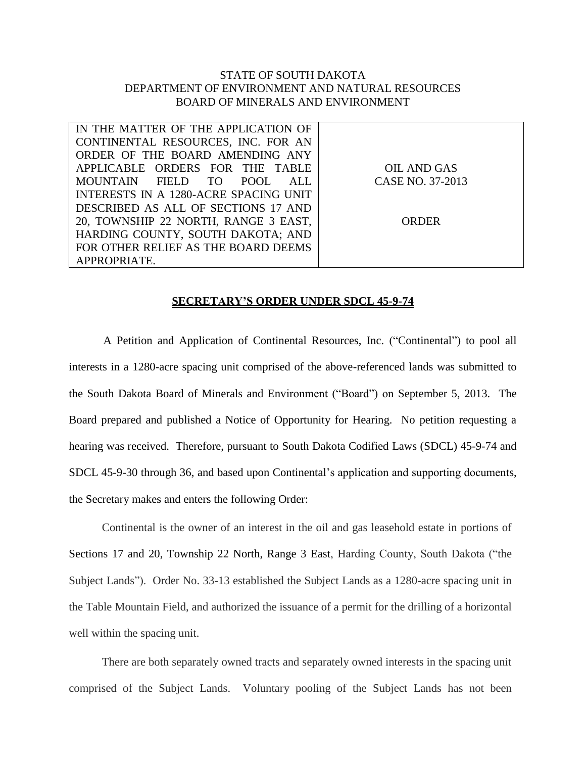## STATE OF SOUTH DAKOTA DEPARTMENT OF ENVIRONMENT AND NATURAL RESOURCES BOARD OF MINERALS AND ENVIRONMENT

| IN THE MATTER OF THE APPLICATION OF   |                  |
|---------------------------------------|------------------|
| CONTINENTAL RESOURCES, INC. FOR AN    |                  |
| ORDER OF THE BOARD AMENDING ANY       |                  |
| APPLICABLE ORDERS FOR THE TABLE       | OIL AND GAS      |
| MOUNTAIN FIELD TO POOL<br>ALL.        | CASE NO. 37-2013 |
| INTERESTS IN A 1280-ACRE SPACING UNIT |                  |
| DESCRIBED AS ALL OF SECTIONS 17 AND   |                  |
| 20, TOWNSHIP 22 NORTH, RANGE 3 EAST,  | ORDER            |
| HARDING COUNTY, SOUTH DAKOTA; AND     |                  |
| FOR OTHER RELIEF AS THE BOARD DEEMS   |                  |
| APPROPRIATE.                          |                  |

## **SECRETARY'S ORDER UNDER SDCL 45-9-74**

A Petition and Application of Continental Resources, Inc. ("Continental") to pool all interests in a 1280-acre spacing unit comprised of the above-referenced lands was submitted to the South Dakota Board of Minerals and Environment ("Board") on September 5, 2013. The Board prepared and published a Notice of Opportunity for Hearing. No petition requesting a hearing was received. Therefore, pursuant to South Dakota Codified Laws (SDCL) 45-9-74 and SDCL 45-9-30 through 36, and based upon Continental's application and supporting documents, the Secretary makes and enters the following Order:

Continental is the owner of an interest in the oil and gas leasehold estate in portions of Sections 17 and 20, Township 22 North, Range 3 East, Harding County, South Dakota ("the Subject Lands"). Order No. 33-13 established the Subject Lands as a 1280-acre spacing unit in the Table Mountain Field, and authorized the issuance of a permit for the drilling of a horizontal well within the spacing unit.

There are both separately owned tracts and separately owned interests in the spacing unit comprised of the Subject Lands. Voluntary pooling of the Subject Lands has not been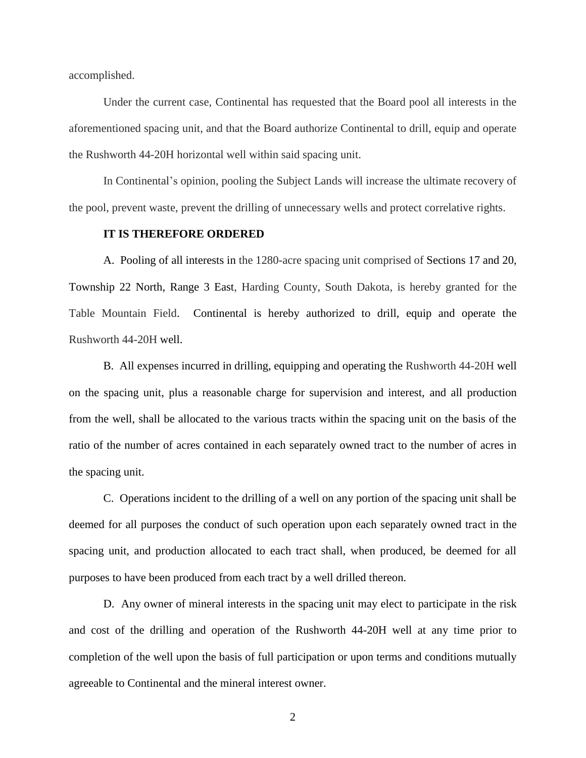accomplished.

Under the current case, Continental has requested that the Board pool all interests in the aforementioned spacing unit, and that the Board authorize Continental to drill, equip and operate the Rushworth 44-20H horizontal well within said spacing unit.

In Continental's opinion, pooling the Subject Lands will increase the ultimate recovery of the pool, prevent waste, prevent the drilling of unnecessary wells and protect correlative rights.

## **IT IS THEREFORE ORDERED**

A. Pooling of all interests in the 1280-acre spacing unit comprised of Sections 17 and 20, Township 22 North, Range 3 East, Harding County, South Dakota, is hereby granted for the Table Mountain Field. Continental is hereby authorized to drill, equip and operate the Rushworth 44-20H well.

B. All expenses incurred in drilling, equipping and operating the Rushworth 44-20H well on the spacing unit, plus a reasonable charge for supervision and interest, and all production from the well, shall be allocated to the various tracts within the spacing unit on the basis of the ratio of the number of acres contained in each separately owned tract to the number of acres in the spacing unit.

C. Operations incident to the drilling of a well on any portion of the spacing unit shall be deemed for all purposes the conduct of such operation upon each separately owned tract in the spacing unit, and production allocated to each tract shall, when produced, be deemed for all purposes to have been produced from each tract by a well drilled thereon.

D. Any owner of mineral interests in the spacing unit may elect to participate in the risk and cost of the drilling and operation of the Rushworth 44-20H well at any time prior to completion of the well upon the basis of full participation or upon terms and conditions mutually agreeable to Continental and the mineral interest owner.